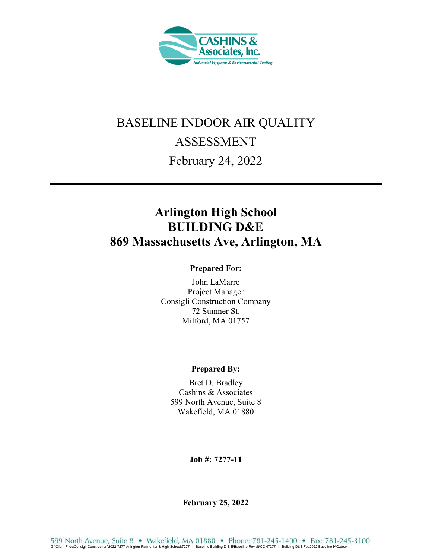

# BASELINE INDOOR AIR QUALITY ASSESSMENT February 24, 2022

## **Arlington High School BUILDING D&E 869 Massachusetts Ave, Arlington, MA**

#### **Prepared For:**

John LaMarre Project Manager Consigli Construction Company 72 Sumner St. Milford, MA 01757

#### **Prepared By:**

Bret D. Bradley Cashins & Associates 599 North Avenue, Suite 8 Wakefield, MA 01880

**Job #: 7277-11** 

**February 25, 2022**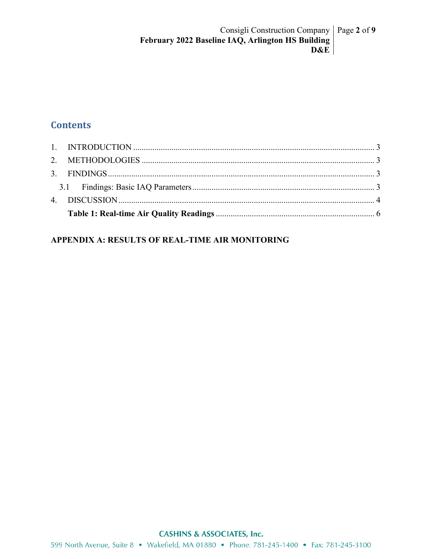## **Contents**

| 1. INTRODUCTION $\ldots$ 3 |  |
|----------------------------|--|

#### APPENDIX A: RESULTS OF REAL-TIME AIR MONITORING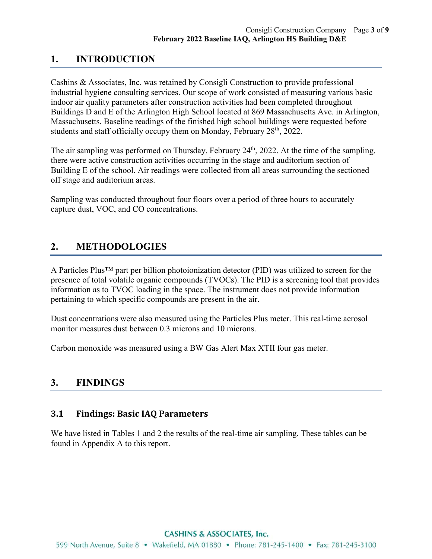## **1. INTRODUCTION**

Cashins & Associates, Inc. was retained by Consigli Construction to provide professional industrial hygiene consulting services. Our scope of work consisted of measuring various basic indoor air quality parameters after construction activities had been completed throughout Buildings D and E of the Arlington High School located at 869 Massachusetts Ave. in Arlington, Massachusetts. Baseline readings of the finished high school buildings were requested before students and staff officially occupy them on Monday, February 28<sup>th</sup>, 2022.

The air sampling was performed on Thursday, February 24<sup>th</sup>, 2022. At the time of the sampling, there were active construction activities occurring in the stage and auditorium section of Building E of the school. Air readings were collected from all areas surrounding the sectioned off stage and auditorium areas.

Sampling was conducted throughout four floors over a period of three hours to accurately capture dust, VOC, and CO concentrations.

## **2. METHODOLOGIES**

A Particles Plus™ part per billion photoionization detector (PID) was utilized to screen for the presence of total volatile organic compounds (TVOCs). The PID is a screening tool that provides information as to TVOC loading in the space. The instrument does not provide information pertaining to which specific compounds are present in the air.

Dust concentrations were also measured using the Particles Plus meter. This real-time aerosol monitor measures dust between 0.3 microns and 10 microns.

Carbon monoxide was measured using a BW Gas Alert Max XTII four gas meter.

### **3. FINDINGS**

#### **3.1 Findings: Basic IAQ Parameters**

We have listed in Tables 1 and 2 the results of the real-time air sampling. These tables can be found in Appendix A to this report.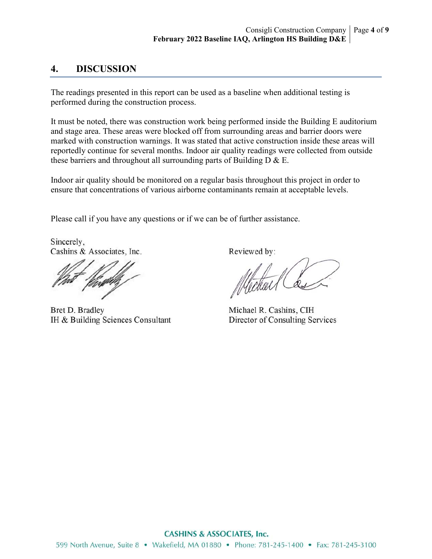#### **4. DISCUSSION**

The readings presented in this report can be used as a baseline when additional testing is performed during the construction process.

It must be noted, there was construction work being performed inside the Building E auditorium and stage area. These areas were blocked off from surrounding areas and barrier doors were marked with construction warnings. It was stated that active construction inside these areas will reportedly continue for several months. Indoor air quality readings were collected from outside these barriers and throughout all surrounding parts of Building  $D \& E$ .

Indoor air quality should be monitored on a regular basis throughout this project in order to ensure that concentrations of various airborne contaminants remain at acceptable levels.

Please call if you have any questions or if we can be of further assistance.

Sincerely. Cashins & Associates, Inc.

Bret D. Bradley IH & Building Sciences Consultant

Reviewed by:

Michael R. Cashins, CIH Director of Consulting Services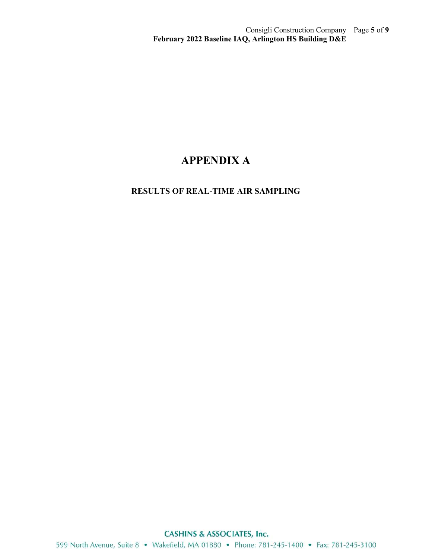## **APPENDIX A**

#### **RESULTS OF REAL-TIME AIR SAMPLING**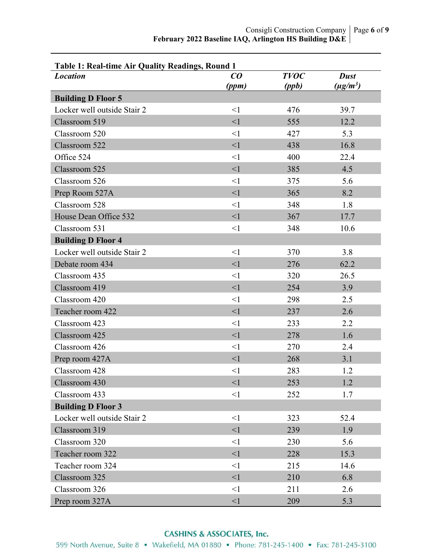| Table 1: Real-time Air Quality Readings, Round 1 |                                |             |               |
|--------------------------------------------------|--------------------------------|-------------|---------------|
| <b>Location</b>                                  | $\boldsymbol{C}\boldsymbol{O}$ | <b>TVOC</b> | <b>Dust</b>   |
|                                                  | (ppm)                          | (ppb)       | $(\mu g/m^3)$ |
| <b>Building D Floor 5</b>                        |                                |             |               |
| Locker well outside Stair 2                      | $\leq$ 1                       | 476         | 39.7          |
| Classroom 519                                    | $\leq$ 1                       | 555         | 12.2          |
| Classroom 520                                    | $\leq$ 1                       | 427         | 5.3           |
| Classroom 522                                    | $\leq$ 1                       | 438         | 16.8          |
| Office 524                                       | $\leq$ 1                       | 400         | 22.4          |
| Classroom 525                                    | $\leq$ 1                       | 385         | 4.5           |
| Classroom 526                                    | $\leq$ 1                       | 375         | 5.6           |
| Prep Room 527A                                   | $\leq$ 1                       | 365         | 8.2           |
| Classroom 528                                    | $\leq$ 1                       | 348         | 1.8           |
| House Dean Office 532                            | $\leq$ 1                       | 367         | 17.7          |
| Classroom 531                                    | $\leq$ 1                       | 348         | 10.6          |
| <b>Building D Floor 4</b>                        |                                |             |               |
| Locker well outside Stair 2                      | $\leq$ 1                       | 370         | 3.8           |
| Debate room 434                                  | $\leq$ 1                       | 276         | 62.2          |
| Classroom 435                                    | $\leq$ 1                       | 320         | 26.5          |
| Classroom 419                                    | $\leq$ 1                       | 254         | 3.9           |
| Classroom 420                                    | $\leq$ 1                       | 298         | 2.5           |
| Teacher room 422                                 | $\leq$ 1                       | 237         | 2.6           |
| Classroom 423                                    | $\leq$ 1                       | 233         | 2.2           |
| Classroom 425                                    | $\leq$ 1                       | 278         | 1.6           |
| Classroom 426                                    | $\leq$ 1                       | 270         | 2.4           |
| Prep room 427A                                   | $\leq$ 1                       | 268         | 3.1           |
| Classroom 428                                    | $\leq$ 1                       | 283         | 1.2           |
| Classroom 430                                    | $\leq$ 1                       | 253         | 1.2           |
| Classroom 433                                    | $\leq$ 1                       | 252         | 1.7           |
| <b>Building D Floor 3</b>                        |                                |             |               |
| Locker well outside Stair 2                      | $\leq$ 1                       | 323         | 52.4          |
| Classroom 319                                    | $\leq$ 1                       | 239         | 1.9           |
| Classroom 320                                    | $\leq$ 1                       | 230         | 5.6           |
| Teacher room 322                                 | $\leq$ 1                       | 228         | 15.3          |
| Teacher room 324                                 | $\leq$ 1                       | 215         | 14.6          |
| Classroom 325                                    | $\leq$ 1                       | 210         | 6.8           |
| Classroom 326                                    | $\leq$ 1                       | 211         | 2.6           |
| Prep room 327A                                   | <1                             | 209         | 5.3           |

#### **CASHINS & ASSOCIATES, Inc.**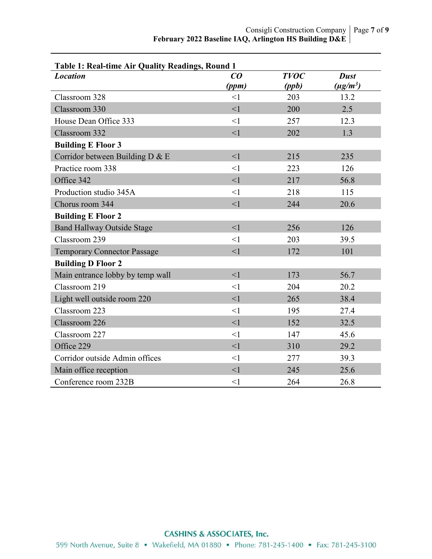| Table 1: Real-time Air Quality Readings, Round 1 |          |             |               |  |
|--------------------------------------------------|----------|-------------|---------------|--|
| <b>Location</b>                                  | CO       | <b>TVOC</b> | <b>Dust</b>   |  |
|                                                  | (ppm)    | (ppb)       | $(\mu g/m^3)$ |  |
| Classroom 328                                    | $\leq$ 1 | 203         | 13.2          |  |
| Classroom 330                                    | $\leq$ 1 | 200         | 2.5           |  |
| House Dean Office 333                            | $\leq$ 1 | 257         | 12.3          |  |
| Classroom 332                                    | $\leq$ 1 | 202         | 1.3           |  |
| <b>Building E Floor 3</b>                        |          |             |               |  |
| Corridor between Building D & E                  | $\leq$ 1 | 215         | 235           |  |
| Practice room 338                                | <1       | 223         | 126           |  |
| Office 342                                       | $\leq$ 1 | 217         | 56.8          |  |
| Production studio 345A                           | $\leq$ 1 | 218         | 115           |  |
| Chorus room 344                                  | $\leq$ 1 | 244         | 20.6          |  |
| <b>Building E Floor 2</b>                        |          |             |               |  |
| <b>Band Hallway Outside Stage</b>                | $\leq$ 1 | 256         | 126           |  |
| Classroom 239                                    | $\leq$ 1 | 203         | 39.5          |  |
| <b>Temporary Connector Passage</b>               | $\leq$ 1 | 172         | 101           |  |
| <b>Building D Floor 2</b>                        |          |             |               |  |
| Main entrance lobby by temp wall                 | $\leq$ 1 | 173         | 56.7          |  |
| Classroom 219                                    | $\leq$ 1 | 204         | 20.2          |  |
| Light well outside room 220                      | $\leq$ 1 | 265         | 38.4          |  |
| Classroom 223                                    | $\leq$ 1 | 195         | 27.4          |  |
| Classroom 226                                    | $\leq$ 1 | 152         | 32.5          |  |
| Classroom 227                                    | $\leq$ 1 | 147         | 45.6          |  |
| Office 229                                       | $\leq$ 1 | 310         | 29.2          |  |
| Corridor outside Admin offices                   | $\leq$ 1 | 277         | 39.3          |  |
| Main office reception                            | $\leq$ 1 | 245         | 25.6          |  |
| Conference room 232B                             | $\leq$ 1 | 264         | 26.8          |  |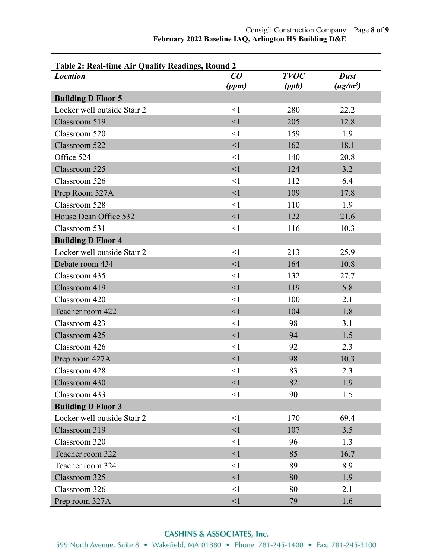| Table 2: Real-time Air Quality Readings, Round 2 |                 |             |               |
|--------------------------------------------------|-----------------|-------------|---------------|
| <b>Location</b>                                  | $\overline{co}$ | <b>TVOC</b> | <b>Dust</b>   |
|                                                  | (ppm)           | (ppb)       | $(\mu g/m^3)$ |
| <b>Building D Floor 5</b>                        |                 |             |               |
| Locker well outside Stair 2                      | $\leq$ 1        | 280         | 22.2          |
| Classroom 519                                    | $\leq$ 1        | 205         | 12.8          |
| Classroom 520                                    | $\leq$ 1        | 159         | 1.9           |
| Classroom 522                                    | $\leq$ 1        | 162         | 18.1          |
| Office 524                                       | $\leq$ 1        | 140         | 20.8          |
| Classroom 525                                    | $\leq$ 1        | 124         | 3.2           |
| Classroom 526                                    | $\leq$ 1        | 112         | 6.4           |
| Prep Room 527A                                   | $\leq$ 1        | 109         | 17.8          |
| Classroom 528                                    | $\leq$ 1        | 110         | 1.9           |
| House Dean Office 532                            | $\leq$ 1        | 122         | 21.6          |
| Classroom 531                                    | $\leq$ 1        | 116         | 10.3          |
| <b>Building D Floor 4</b>                        |                 |             |               |
| Locker well outside Stair 2                      | $\leq$ 1        | 213         | 25.9          |
| Debate room 434                                  | $\leq$ 1        | 164         | 10.8          |
| Classroom 435                                    | $\leq$ 1        | 132         | 27.7          |
| Classroom 419                                    | <1              | 119         | 5.8           |
| Classroom 420                                    | $\leq$ 1        | 100         | 2.1           |
| Teacher room 422                                 | $\leq$ 1        | 104         | 1.8           |
| Classroom 423                                    | $\leq$ 1        | 98          | 3.1           |
| Classroom 425                                    | $\leq$ 1        | 94          | 1.5           |
| Classroom 426                                    | $\leq$ 1        | 92          | 2.3           |
| Prep room 427A                                   | $\leq$ 1        | 98          | 10.3          |
| Classroom 428                                    | $\leq$ 1        | 83          | 2.3           |
| Classroom 430                                    | $\leq$ 1        | 82          | 1.9           |
| Classroom 433                                    | $\leq$ 1        | 90          | 1.5           |
| <b>Building D Floor 3</b>                        |                 |             |               |
| Locker well outside Stair 2                      | $\leq$ 1        | 170         | 69.4          |
| Classroom 319                                    | $\leq$ 1        | 107         | 3.5           |
| Classroom 320                                    | $\leq$ 1        | 96          | 1.3           |
| Teacher room 322                                 | <1              | 85          | 16.7          |
| Teacher room 324                                 | $\leq$ 1        | 89          | 8.9           |
| Classroom 325                                    | $\leq$ 1        | 80          | 1.9           |
| Classroom 326                                    | $\leq$ 1        | 80          | 2.1           |
| Prep room 327A                                   | <1              | 79          | 1.6           |

#### **CASHINS & ASSOCIATES, Inc.**